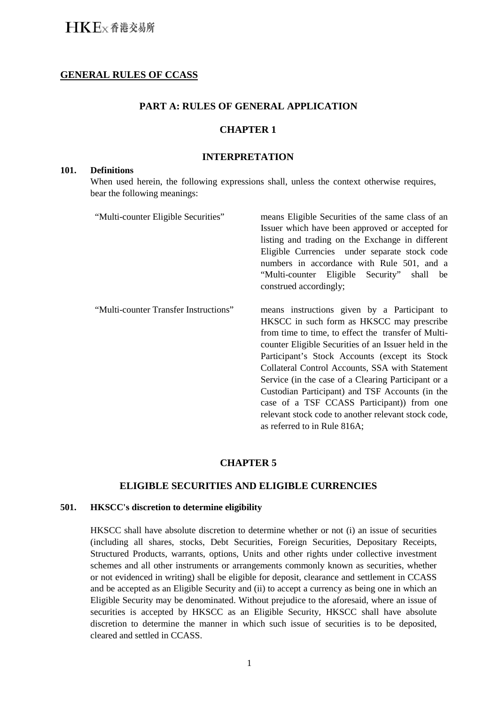## **GENERAL RULES OF CCASS**

## **PART A: RULES OF GENERAL APPLICATION**

### **CHAPTER 1**

#### **INTERPRETATION**

#### **101. Definitions**

When used herein, the following expressions shall, unless the context otherwise requires, bear the following meanings:

| "Multi-counter Eligible Securities"   | means Eligible Securities of the same class of an<br>Issuer which have been approved or accepted for<br>listing and trading on the Exchange in different<br>Eligible Currencies under separate stock code<br>numbers in accordance with Rule 501, and a<br>"Multi-counter Eligible Security" shall<br>be<br>construed accordingly;                                                                                                                                                                                                                            |
|---------------------------------------|---------------------------------------------------------------------------------------------------------------------------------------------------------------------------------------------------------------------------------------------------------------------------------------------------------------------------------------------------------------------------------------------------------------------------------------------------------------------------------------------------------------------------------------------------------------|
| "Multi-counter Transfer Instructions" | means instructions given by a Participant to<br>HKSCC in such form as HKSCC may prescribe<br>from time to time, to effect the transfer of Multi-<br>counter Eligible Securities of an Issuer held in the<br>Participant's Stock Accounts (except its Stock)<br>Collateral Control Accounts, SSA with Statement<br>Service (in the case of a Clearing Participant or a<br>Custodian Participant) and TSF Accounts (in the<br>case of a TSF CCASS Participant)) from one<br>relevant stock code to another relevant stock code,<br>as referred to in Rule 816A; |

## **CHAPTER 5**

### **ELIGIBLE SECURITIES AND ELIGIBLE CURRENCIES**

#### **501. HKSCC's discretion to determine eligibility**

HKSCC shall have absolute discretion to determine whether or not (i) an issue of securities (including all shares, stocks, Debt Securities, Foreign Securities, Depositary Receipts, Structured Products, warrants, options, Units and other rights under collective investment schemes and all other instruments or arrangements commonly known as securities, whether or not evidenced in writing) shall be eligible for deposit, clearance and settlement in CCASS and be accepted as an Eligible Security and (ii) to accept a currency as being one in which an Eligible Security may be denominated. Without prejudice to the aforesaid, where an issue of securities is accepted by HKSCC as an Eligible Security, HKSCC shall have absolute discretion to determine the manner in which such issue of securities is to be deposited, cleared and settled in CCASS.